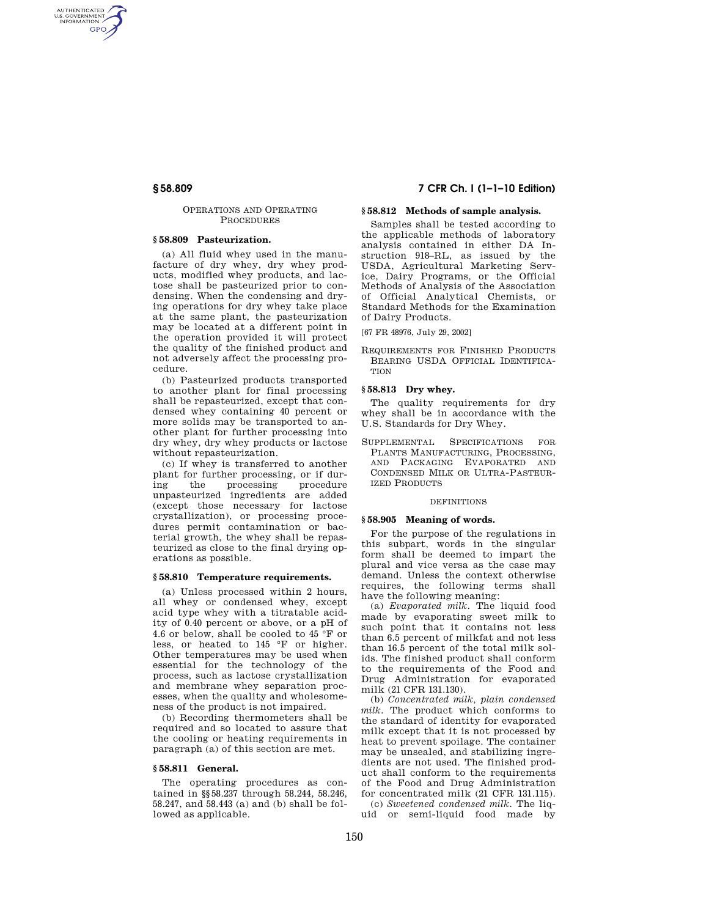AUTHENTICATED<br>U.S. GOVERNMENT<br>INFORMATION **GPO** 

## OPERATIONS AND OPERATING PROCEDURES

# **§ 58.809 Pasteurization.**

(a) All fluid whey used in the manufacture of dry whey, dry whey products, modified whey products, and lactose shall be pasteurized prior to condensing. When the condensing and drying operations for dry whey take place at the same plant, the pasteurization may be located at a different point in the operation provided it will protect the quality of the finished product and not adversely affect the processing procedure.

(b) Pasteurized products transported to another plant for final processing shall be repasteurized, except that condensed whey containing 40 percent or more solids may be transported to another plant for further processing into dry whey, dry whey products or lactose without repasteurization.

(c) If whey is transferred to another plant for further processing, or if during the processing procedure unpasteurized ingredients are added (except those necessary for lactose crystallization), or processing procedures permit contamination or bacterial growth, the whey shall be repasteurized as close to the final drying operations as possible.

#### **§ 58.810 Temperature requirements.**

(a) Unless processed within 2 hours, all whey or condensed whey, except acid type whey with a titratable acidity of 0.40 percent or above, or a pH of  $4.6$  or below, shall be cooled to  $45~^\circ\mathrm{F}$  or less, or heated to 145 °F or higher. Other temperatures may be used when essential for the technology of the process, such as lactose crystallization and membrane whey separation processes, when the quality and wholesomeness of the product is not impaired.

(b) Recording thermometers shall be required and so located to assure that the cooling or heating requirements in paragraph (a) of this section are met.

# **§ 58.811 General.**

The operating procedures as contained in §§58.237 through 58.244, 58.246, 58.247, and 58.443 (a) and (b) shall be followed as applicable.

# **§ 58.809 7 CFR Ch. I (1–1–10 Edition)**

# **§ 58.812 Methods of sample analysis.**

Samples shall be tested according to the applicable methods of laboratory analysis contained in either DA Instruction 918–RL, as issued by the USDA, Agricultural Marketing Service, Dairy Programs, or the Official Methods of Analysis of the Association of Official Analytical Chemists, or Standard Methods for the Examination of Dairy Products.

[67 FR 48976, July 29, 2002]

REQUIREMENTS FOR FINISHED PRODUCTS BEARING USDA OFFICIAL IDENTIFICA-**TION** 

# **§ 58.813 Dry whey.**

The quality requirements for dry whey shall be in accordance with the U.S. Standards for Dry Whey.

SUPPLEMENTAL SPECIFICATIONS FOR PLANTS MANUFACTURING, PROCESSING, AND PACKAGING EVAPORATED AND CONDENSED MILK OR ULTRA-PASTEUR-IZED PRODUCTS

#### **DEFINITIONS**

#### **§ 58.905 Meaning of words.**

For the purpose of the regulations in this subpart, words in the singular form shall be deemed to impart the plural and vice versa as the case may demand. Unless the context otherwise requires, the following terms shall have the following meaning:

(a) *Evaporated milk.* The liquid food made by evaporating sweet milk to such point that it contains not less than 6.5 percent of milkfat and not less than 16.5 percent of the total milk solids. The finished product shall conform to the requirements of the Food and Drug Administration for evaporated milk (21 CFR 131.130).

(b) *Concentrated milk, plain condensed milk.* The product which conforms to the standard of identity for evaporated milk except that it is not processed by heat to prevent spoilage. The container may be unsealed, and stabilizing ingredients are not used. The finished product shall conform to the requirements of the Food and Drug Administration for concentrated milk (21 CFR 131.115). (c) *Sweetened condensed milk.* The liquid or semi-liquid food made by